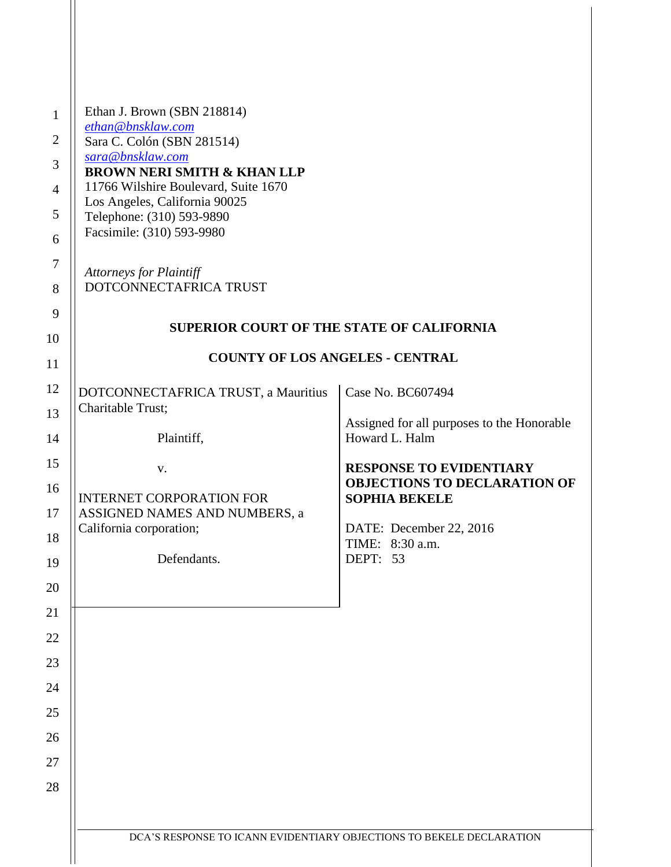| Ethan J. Brown (SBN 218814)                                           |                                                                      |
|-----------------------------------------------------------------------|----------------------------------------------------------------------|
| ethan@bnsklaw.com<br>Sara C. Colón (SBN 281514)                       |                                                                      |
| sara@bnsklaw.com                                                      |                                                                      |
| <b>BROWN NERI SMITH &amp; KHAN LLP</b>                                |                                                                      |
| 11766 Wilshire Boulevard, Suite 1670<br>Los Angeles, California 90025 |                                                                      |
| Telephone: (310) 593-9890                                             |                                                                      |
| Facsimile: (310) 593-9980                                             |                                                                      |
|                                                                       |                                                                      |
| <b>Attorneys for Plaintiff</b><br>DOTCONNECTAFRICA TRUST              |                                                                      |
|                                                                       |                                                                      |
| <b>SUPERIOR COURT OF THE STATE OF CALIFORNIA</b>                      |                                                                      |
|                                                                       |                                                                      |
| <b>COUNTY OF LOS ANGELES - CENTRAL</b>                                |                                                                      |
| DOTCONNECTAFRICA TRUST, a Mauritius                                   | Case No. BC607494                                                    |
| Charitable Trust;                                                     |                                                                      |
| Plaintiff,                                                            | Assigned for all purposes to the Honorable<br>Howard L. Halm         |
|                                                                       |                                                                      |
| V.                                                                    | <b>RESPONSE TO EVIDENTIARY</b>                                       |
| <b>INTERNET CORPORATION FOR</b>                                       | <b>OBJECTIONS TO DECLARATION OF</b><br><b>SOPHIA BEKELE</b>          |
| ASSIGNED NAMES AND NUMBERS, a                                         |                                                                      |
| California corporation;                                               | DATE: December 22, 2016<br>TIME: 8:30 a.m.                           |
| Defendants.                                                           | DEPT: 53                                                             |
|                                                                       |                                                                      |
|                                                                       |                                                                      |
|                                                                       |                                                                      |
|                                                                       |                                                                      |
|                                                                       |                                                                      |
|                                                                       |                                                                      |
|                                                                       |                                                                      |
|                                                                       |                                                                      |
|                                                                       |                                                                      |
|                                                                       |                                                                      |
|                                                                       |                                                                      |
|                                                                       |                                                                      |
|                                                                       | DCA'S RESPONSE TO ICANN EVIDENTIARY OBJECTIONS TO BEKELE DECLARATION |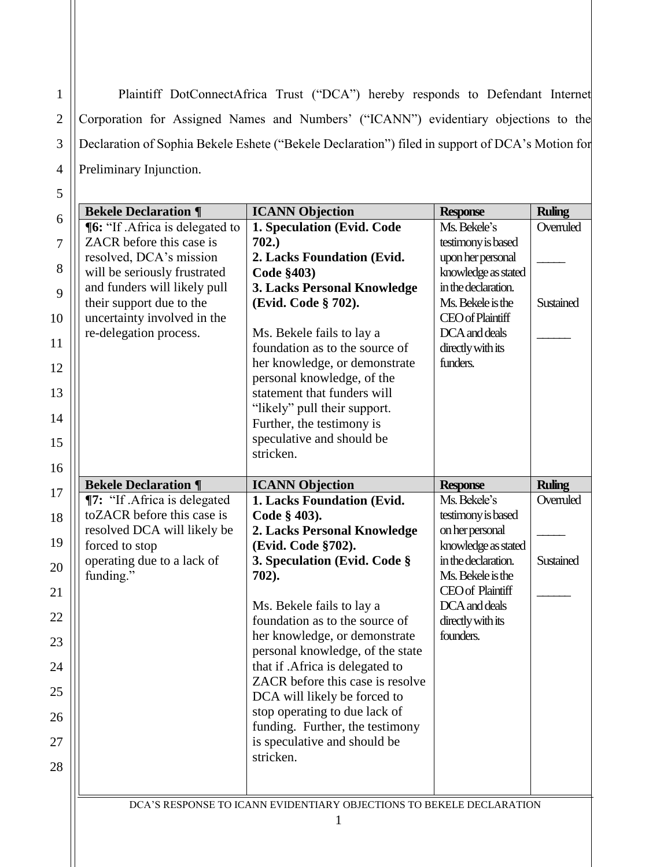Plaintiff DotConnectAfrica Trust ("DCA") hereby responds to Defendant Internet Corporation for Assigned Names and Numbers' ("ICANN") evidentiary objections to the Declaration of Sophia Bekele Eshete ("Bekele Declaration") filed in support of DCA's Motion for Preliminary Injunction.

| 6              | <b>Bekele Declaration ¶</b>                             | <b>ICANN Objection</b>                                               | <b>Response</b>                          | <b>Ruling</b> |
|----------------|---------------------------------------------------------|----------------------------------------------------------------------|------------------------------------------|---------------|
|                | ¶6: "If .Africa is delegated to                         | 1. Speculation (Evid. Code                                           | Ms. Bekele's                             | Overruled     |
| $\overline{7}$ | ZACR before this case is                                | 702.)                                                                | testimony is based                       |               |
| 8              | resolved, DCA's mission                                 | 2. Lacks Foundation (Evid.                                           | upon her personal                        |               |
|                | will be seriously frustrated                            | Code §403)                                                           | knowledge as stated                      |               |
| 9              | and funders will likely pull                            | 3. Lacks Personal Knowledge                                          | in the declaration.<br>Ms. Bekele is the |               |
| 10             | their support due to the<br>uncertainty involved in the | (Evid. Code § 702).                                                  | <b>CEO</b> of Plaintiff                  | Sustained     |
|                | re-delegation process.                                  | Ms. Bekele fails to lay a                                            | DCA and deals                            |               |
| 11             |                                                         | foundation as to the source of                                       | directly with its                        |               |
| 12             |                                                         | her knowledge, or demonstrate                                        | funders.                                 |               |
|                |                                                         | personal knowledge, of the                                           |                                          |               |
| 13             |                                                         | statement that funders will                                          |                                          |               |
|                |                                                         | "likely" pull their support.                                         |                                          |               |
| 14             |                                                         | Further, the testimony is                                            |                                          |               |
| 15             |                                                         | speculative and should be                                            |                                          |               |
|                |                                                         | stricken.                                                            |                                          |               |
| 16             | <b>Bekele Declaration ¶</b>                             | <b>ICANN Objection</b>                                               |                                          | <b>Ruling</b> |
| 17             | ¶7: "If .Africa is delegated                            | 1. Lacks Foundation (Evid.                                           | <b>Response</b><br>Ms. Bekele's          | Overruled     |
| 18             | toZACR before this case is                              | Code § 403).                                                         | testimony is based                       |               |
|                | resolved DCA will likely be                             | 2. Lacks Personal Knowledge                                          | on her personal                          |               |
| 19             | forced to stop                                          | (Evid. Code §702).                                                   | knowledge as stated                      |               |
| 20             | operating due to a lack of                              | 3. Speculation (Evid. Code §                                         | in the declaration.                      | Sustained     |
|                | funding."                                               | 702).                                                                | Ms. Bekele is the                        |               |
| 21             |                                                         |                                                                      | <b>CEO</b> of Plaintiff                  |               |
| 22             |                                                         | Ms. Bekele fails to lay a                                            | DCA and deals                            |               |
|                |                                                         | foundation as to the source of                                       | directly with its                        |               |
| 23             |                                                         | her knowledge, or demonstrate                                        | founders.                                |               |
| 24             |                                                         | personal knowledge, of the state<br>that if .Africa is delegated to  |                                          |               |
|                |                                                         | ZACR before this case is resolve                                     |                                          |               |
| 25             |                                                         | DCA will likely be forced to                                         |                                          |               |
| 26             |                                                         | stop operating to due lack of                                        |                                          |               |
|                |                                                         | funding. Further, the testimony                                      |                                          |               |
| 27             |                                                         | is speculative and should be                                         |                                          |               |
| 28             |                                                         | stricken.                                                            |                                          |               |
|                |                                                         |                                                                      |                                          |               |
|                |                                                         |                                                                      |                                          |               |
|                |                                                         | DCA'S RESPONSE TO ICANN EVIDENTIARY OBJECTIONS TO BEKELE DECLARATION |                                          |               |
|                |                                                         | 1                                                                    |                                          |               |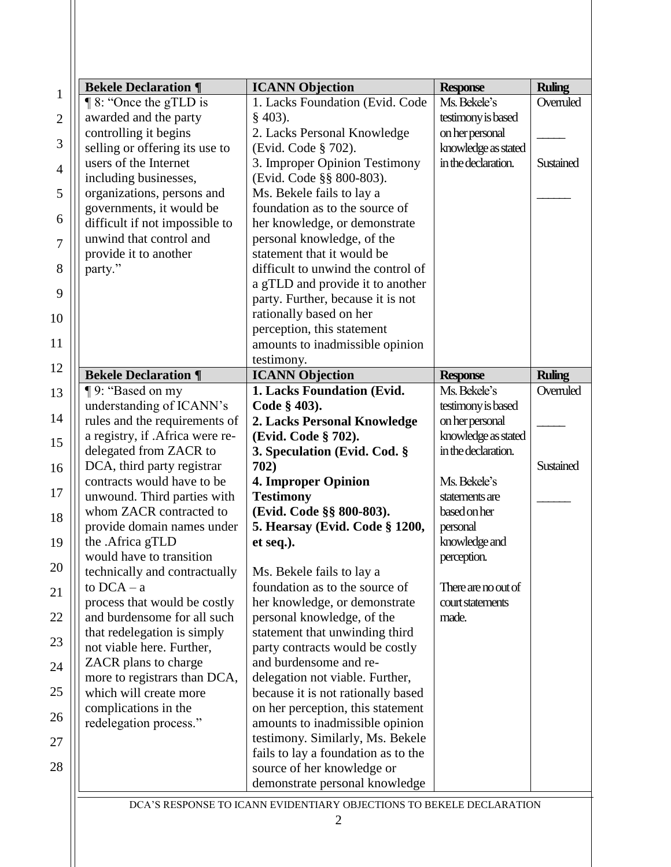|                | <b>Bekele Declaration ¶</b>     | <b>ICANN</b> Objection                                               | <b>Response</b>     | <b>Ruling</b> |
|----------------|---------------------------------|----------------------------------------------------------------------|---------------------|---------------|
| $\mathbf{1}$   | $\P$ 8: "Once the gTLD is       | 1. Lacks Foundation (Evid. Code                                      | Ms. Bekele's        | Overruled     |
| $\overline{2}$ | awarded and the party           | $§$ 403).                                                            | testimony is based  |               |
|                | controlling it begins           | 2. Lacks Personal Knowledge                                          | on her personal     |               |
| 3              | selling or offering its use to  | (Evid. Code § 702).                                                  | knowledge as stated |               |
| $\overline{4}$ | users of the Internet           | 3. Improper Opinion Testimony                                        | in the declaration. | Sustained     |
|                | including businesses,           | (Evid. Code §§ 800-803).                                             |                     |               |
| 5              | organizations, persons and      | Ms. Bekele fails to lay a                                            |                     |               |
|                | governments, it would be        | foundation as to the source of                                       |                     |               |
| 6              | difficult if not impossible to  | her knowledge, or demonstrate                                        |                     |               |
| 7              | unwind that control and         | personal knowledge, of the                                           |                     |               |
|                | provide it to another           | statement that it would be                                           |                     |               |
| 8              | party."                         | difficult to unwind the control of                                   |                     |               |
|                |                                 | a gTLD and provide it to another                                     |                     |               |
| 9              |                                 | party. Further, because it is not                                    |                     |               |
| 10             |                                 | rationally based on her                                              |                     |               |
|                |                                 | perception, this statement                                           |                     |               |
| 11             |                                 | amounts to inadmissible opinion                                      |                     |               |
|                |                                 | testimony.                                                           |                     |               |
| 12             | <b>Bekele Declaration ¶</b>     | <b>ICANN Objection</b>                                               | <b>Response</b>     | <b>Ruling</b> |
| 13             | ¶9: "Based on my                | 1. Lacks Foundation (Evid.                                           | Ms. Bekele's        | Overruled     |
|                | understanding of ICANN's        | Code § 403).                                                         | testimony is based  |               |
| 14             | rules and the requirements of   | 2. Lacks Personal Knowledge                                          | on her personal     |               |
| 15             | a registry, if .Africa were re- | (Evid. Code § 702).                                                  | knowledge as stated |               |
|                | delegated from ZACR to          | 3. Speculation (Evid. Cod. §                                         | in the declaration. |               |
| 16             | DCA, third party registrar      | 702)                                                                 |                     | Sustained     |
|                | contracts would have to be      | <b>4. Improper Opinion</b>                                           | Ms. Bekele's        |               |
| 17             | unwound. Third parties with     | <b>Testimony</b>                                                     | statements are      |               |
| 18             | whom ZACR contracted to         | (Evid. Code §§ 800-803).                                             | based on her        |               |
|                | provide domain names under      | 5. Hearsay (Evid. Code § 1200,                                       | personal            |               |
| 19             | the .Africa gTLD                | et seq.).                                                            | knowledge and       |               |
|                | would have to transition        |                                                                      | perception.         |               |
| 20             | technically and contractually   | Ms. Bekele fails to lay a                                            |                     |               |
| 21             | to $DCA - a$                    | foundation as to the source of                                       | There are no out of |               |
|                | process that would be costly    | her knowledge, or demonstrate                                        | court statements    |               |
| 22             | and burdensome for all such     | personal knowledge, of the                                           | made.               |               |
| 23             | that redelegation is simply     | statement that unwinding third                                       |                     |               |
|                | not viable here. Further,       | party contracts would be costly                                      |                     |               |
| 24             | ZACR plans to charge            | and burdensome and re-                                               |                     |               |
|                | more to registrars than DCA,    | delegation not viable. Further,                                      |                     |               |
| 25             | which will create more          | because it is not rationally based                                   |                     |               |
| 26             | complications in the            | on her perception, this statement                                    |                     |               |
|                | redelegation process."          | amounts to inadmissible opinion                                      |                     |               |
| 27             |                                 | testimony. Similarly, Ms. Bekele                                     |                     |               |
|                |                                 | fails to lay a foundation as to the                                  |                     |               |
| 28             |                                 | source of her knowledge or                                           |                     |               |
|                |                                 | demonstrate personal knowledge                                       |                     |               |
|                |                                 | DCA'S RESPONSE TO ICANN EVIDENTIARY OBJECTIONS TO BEKELE DECLARATION |                     |               |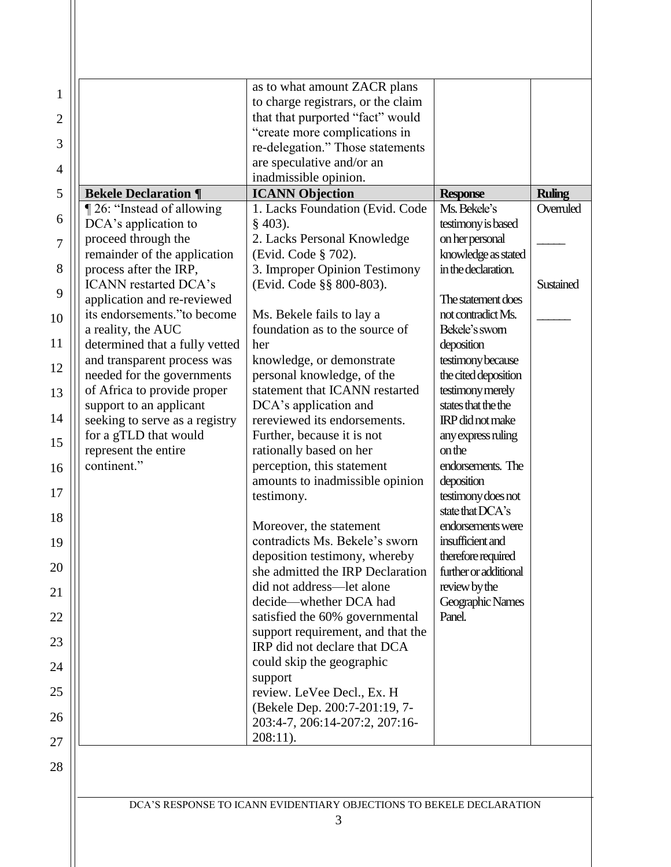| $\mathbf{1}$   |                                                           | as to what amount ZACR plans                                           |                                             |               |
|----------------|-----------------------------------------------------------|------------------------------------------------------------------------|---------------------------------------------|---------------|
|                |                                                           | to charge registrars, or the claim<br>that that purported "fact" would |                                             |               |
| $\overline{2}$ |                                                           | "create more complications in                                          |                                             |               |
| 3              |                                                           | re-delegation." Those statements                                       |                                             |               |
| $\overline{4}$ |                                                           | are speculative and/or an                                              |                                             |               |
| 5              | <b>Bekele Declaration ¶</b>                               | inadmissible opinion.<br><b>ICANN Objection</b>                        | <b>Response</b>                             | <b>Ruling</b> |
|                | 126: "Instead of allowing                                 | 1. Lacks Foundation (Evid. Code                                        | Ms. Bekele's                                | Overruled     |
| 6              | DCA's application to                                      | $§$ 403).                                                              | testimony is based                          |               |
| $\overline{7}$ | proceed through the                                       | 2. Lacks Personal Knowledge                                            | on her personal                             |               |
| 8              | remainder of the application<br>process after the IRP,    | (Evid. Code § 702).<br>3. Improper Opinion Testimony                   | knowledge as stated<br>in the declaration.  |               |
|                | <b>ICANN</b> restarted DCA's                              | (Evid. Code §§ 800-803).                                               |                                             | Sustained     |
| 9              | application and re-reviewed                               |                                                                        | The statement does                          |               |
| 10             | its endorsements."to become                               | Ms. Bekele fails to lay a                                              | not contradict Ms.                          |               |
| 11             | a reality, the AUC<br>determined that a fully vetted      | foundation as to the source of<br>her                                  | Bekele's swom<br>deposition                 |               |
|                | and transparent process was                               | knowledge, or demonstrate                                              | testimony because                           |               |
| 12             | needed for the governments                                | personal knowledge, of the                                             | the cited deposition                        |               |
| 13             | of Africa to provide proper                               | statement that ICANN restarted                                         | testimony merely                            |               |
| 14             | support to an applicant<br>seeking to serve as a registry | DCA's application and<br>rereviewed its endorsements.                  | states that the the<br>IRP did not make     |               |
|                | for a gTLD that would                                     | Further, because it is not                                             | any express ruling                          |               |
| 15             | represent the entire                                      | rationally based on her                                                | on the                                      |               |
| 16             | continent."                                               | perception, this statement                                             | endorsements. The                           |               |
| 17             |                                                           | amounts to inadmissible opinion<br>testimony.                          | deposition<br>testimony does not            |               |
|                |                                                           |                                                                        | state that DCA's                            |               |
| 18             |                                                           | Moreover, the statement                                                | endorsements were                           |               |
| 19             |                                                           | contradicts Ms. Bekele's sworn                                         | insufficient and                            |               |
| 20             |                                                           | deposition testimony, whereby<br>she admitted the IRP Declaration      | therefore required<br>further or additional |               |
| 21             |                                                           | did not address-let alone                                              | review by the                               |               |
|                |                                                           | decide—whether DCA had                                                 | Geographic Names                            |               |
| 22             |                                                           | satisfied the 60% governmental                                         | Panel.                                      |               |
| 23             |                                                           | support requirement, and that the<br>IRP did not declare that DCA      |                                             |               |
| 24             |                                                           | could skip the geographic                                              |                                             |               |
|                |                                                           | support                                                                |                                             |               |
| 25             |                                                           | review. LeVee Decl., Ex. H<br>(Bekele Dep. 200:7-201:19, 7-            |                                             |               |
| 26             |                                                           | 203:4-7, 206:14-207:2, 207:16-                                         |                                             |               |
| 27             |                                                           | $208:11$ ).                                                            |                                             |               |
|                |                                                           |                                                                        |                                             |               |
| 28             |                                                           |                                                                        |                                             |               |

DCA'S RESPONSE TO ICANN EVIDENTIARY OBJECTIONS TO BEKELE DECLARATION